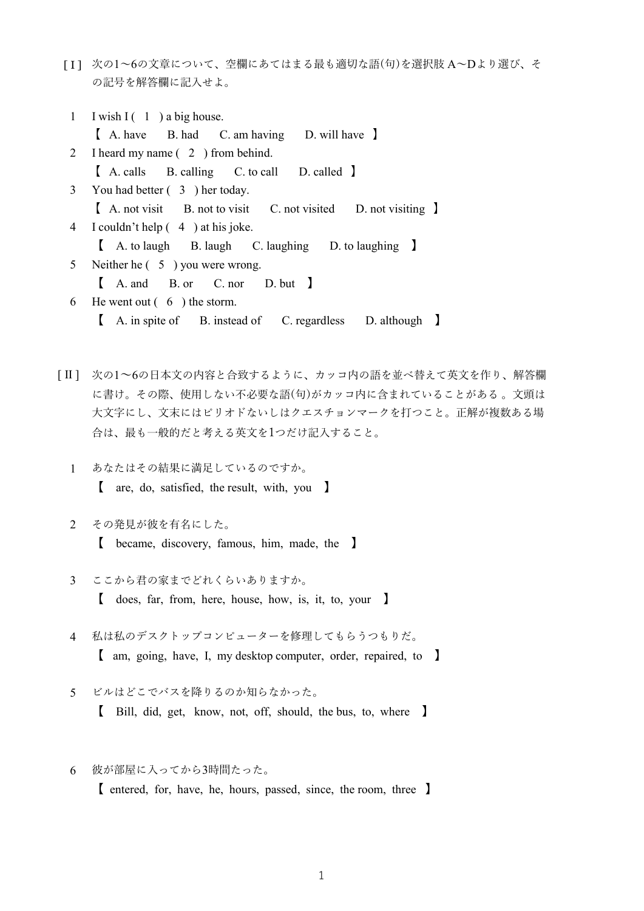[I] 次の1~6の文章について、空欄にあてはまる最も適切な語(句)を選択肢 A~Dより選び、そ の記号を解答欄に記入せよ。

|   | 1 I wish I $(1)$ a big house.                                   |
|---|-----------------------------------------------------------------|
|   | [A. have B. had C. am having D. will have                       |
|   | 2 I heard my name (2) from behind.                              |
|   | [ A. calls B. calling C. to call D. called ]                    |
|   | 3 You had better (3) her today.                                 |
|   | [ A. not visit B. not to visit C. not visited D. not visiting ] |
|   | 4 I couldn't help (4) at his joke.                              |
|   | [ A. to laugh B. laugh C. laughing D. to laughing ]             |
| 5 | Neither he $(5)$ you were wrong.                                |
|   | [ A. and B. or C. nor D. but ]                                  |
| 6 | He went out $(6)$ the storm.                                    |
|   | [A. in spite of B. instead of C. regardless D. although ]       |

- [ II ] 次の1~6の日本文の内容と合致するように、カッコ内の語を並べ替えて英文を作り、解答欄 に書け。その際、使用しない不必要な語(句)がカッコ内に含まれていることがある 。文頭は 大文字にし、文末にはピリオドないしはクエスチョンマークを打つこと。正解が複数ある場 合は、最も一般的だと考える英文を1つだけ記入すること。
	- 1 あなたはその結果に満足しているのですか。 【 are, do, satisfied, the result, with, you 】
	- 2 その発見が彼を有名にした。 【 became, discovery, famous, him, made, the 】
	- 3 ここから君の家までどれくらいありますか。
		- 【 does, far, from, here, house, how, is, it, to, your 】
	- 4 私は私のデスクトップコンピューターを修理してもらうつもりだ。 【 am, going, have, I, my desktop computer, order, repaired, to 】
	- 5 ビルはどこでバスを降りるのか知らなかった。
		- 【 Bill, did, get, know, not, off, should, the bus, to, where 】
	- 6 彼が部屋に入ってから3時間たった。

【 entered, for, have, he, hours, passed, since, the room, three 】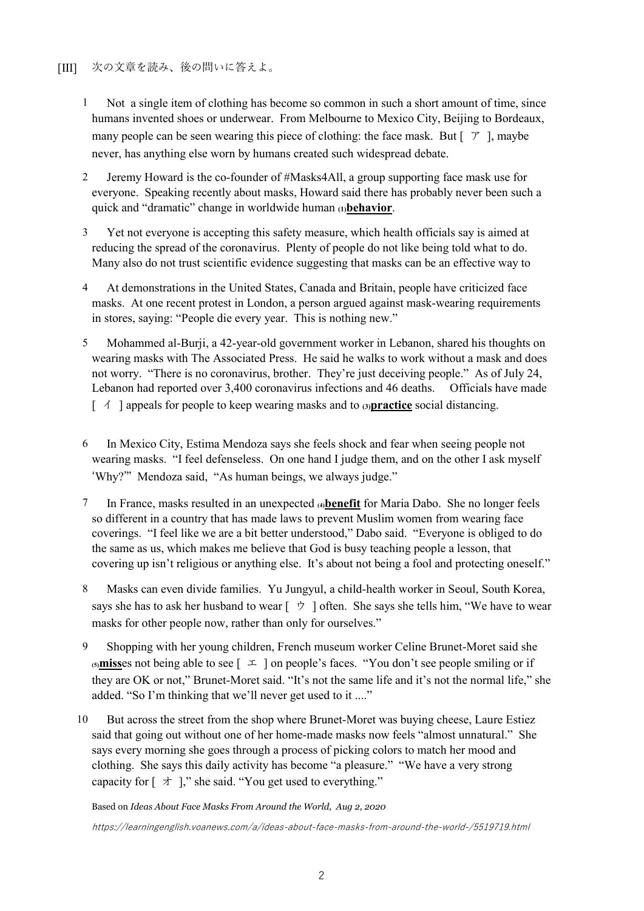- 1 Not a single item of clothing has become so common in such a short amount of time, since humans invented shoes or underwear. From Melbourne to Mexico City, Beijing to Bordeaux, many people can be seen wearing this piece of clothing: the face mask. But  $[\mathcal{F}]$ , maybe never, has anything else worn by humans created such widespread debate.
- 2 Jeremy Howard is the co-founder of #Masks4All, a group supporting face mask use for everyone. Speaking recently about masks, Howard said there has probably never been such a quick and "dramatic" change in worldwide human **(1)behavior**.
- 3 Yet not everyone is accepting this safety measure, which health officials say is aimed at reducing the spread of the coronavirus. Plenty of people do not like being told what to do. Many also do not trust scientific evidence suggesting that masks can be an effective way to
- 4 At demonstrations in the United States, Canada and Britain, people have criticized face masks. At one recent protest in London, a person argued against mask-wearing requirements in stores, saying: "People die every year. This is nothing new."
- 5 Mohammed al-Burji, a 42-year-old government worker in Lebanon, shared his thoughts on wearing masks with The Associated Press. He said he walks to work without a mask and does not worry. "There is no coronavirus, brother. They're just deceiving people." As of July 24, Lebanon had reported over 3,400 coronavirus infections and 46 deaths. Officials have made [ イ ] appeals for people to keep wearing masks and to **(3)practice** social distancing.
- 6 In Mexico City, Estima Mendoza says she feels shock and fear when seeing people not wearing masks. "I feel defenseless. On one hand I judge them, and on the other I ask myself 'Why?'" Mendoza said, "As human beings, we always judge."
- 7 In France, masks resulted in an unexpected **(4)benefit** for Maria Dabo. She no longer feels so different in a country that has made laws to prevent Muslim women from wearing face coverings. "I feel like we are a bit better understood," Dabo said. "Everyone is obliged to do the same as us, which makes me believe that God is busy teaching people a lesson, that covering up isn't religious or anything else. It's about not being a fool and protecting oneself."
- 8 Masks can even divide families. Yu Jungyul, a child-health worker in Seoul, South Korea, says she has to ask her husband to wear  $[\vec{v}]$  often. She says she tells him, "We have to wear masks for other people now, rather than only for ourselves."
- 9 Shopping with her young children, French museum worker Celine Brunet-Moret said she  $(5)$  misses not being able to see  $\lceil 1 \rceil$  on people's faces. "You don't see people smiling or if they are OK or not," Brunet-Moret said. "It's not the same life and it's not the normal life," she added. "So I'm thinking that we'll never get used to it ...."
- 10 But across the street from the shop where Brunet-Moret was buying cheese, Laure Estiez said that going out without one of her home-made masks now feels "almost unnatural." She says every morning she goes through a process of picking colors to match her mood and clothing. She says this daily activity has become "a pleasure." "We have a very strong capacity for  $\lceil \frac{1}{2} \rceil$ ," she said. "You get used to everything."

Based on *Ideas About Face Masks From Around the World, Aug 2, 2020*

<https://learningenglish.voanews.com/a/ideas-about-face-masks-from-around-the-world-/5519719.html>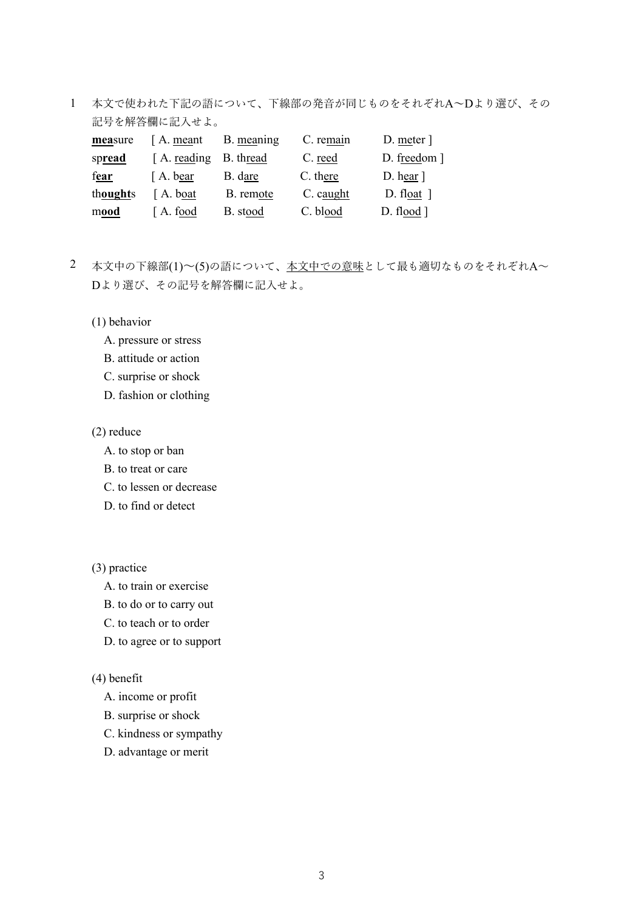1 本文で使われた下記の語について、下線部の発音が同じものをそれぞれA~Dより選び、その 記号を解答欄に記入せよ。

| measure  | [A. meant]             | B. meaning | C. remain | D. meter ]                |
|----------|------------------------|------------|-----------|---------------------------|
| spread   | [A. reading B. thread] |            | C. reed   | D. freedom ]              |
| fear     | [A. bear]              | B. dare    | C. there  | $D.$ hear $\vert$         |
| thoughts | [A. boat]              | B. remote  | C. caught | D. float $\vert$          |
| mood     | A. food                | B. stood   | C. blood  | $D.$ flood $\overline{)}$ |

- 2 本文中の下線部(1)~(5)の語について、本文中での意味として最も適切なものをそれぞれA~ Dより選び、その記号を解答欄に記入せよ。
	- (1) behavior
		- A. pressure or stress
		- B. attitude or action
		- C. surprise or shock
		- D. fashion or clothing

## (2) reduce

- A. to stop or ban
- B. to treat or care
- C. to lessen or decrease
- D. to find or detect

## (3) practice

- A. to train or exercise
- B. to do or to carry out
- C. to teach or to order
- D. to agree or to support

## (4) benefit

- A. income or profit
- B. surprise or shock
- C. kindness or sympathy
- D. advantage or merit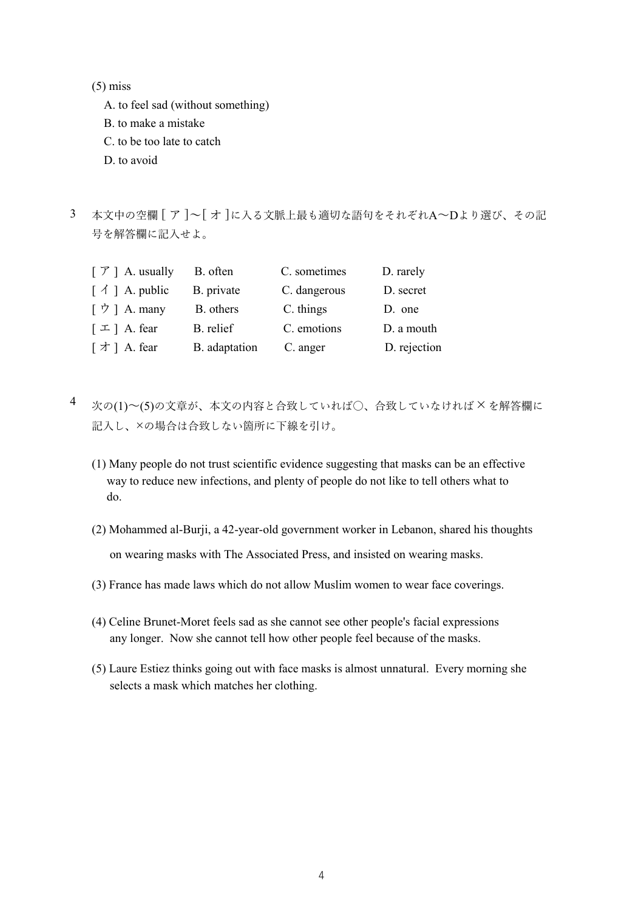$(5)$  miss

- A. to feel sad (without something)
- B. to make a mistake
- C. to be too late to catch
- D. to avoid
- 3 本文中の空欄 [ ア ]~[ オ ]に入る文脈上最も適切な語句をそれぞれA~Dより選び、その記 号を解答欄に記入せよ。

| $\lceil \mathcal{F} \rceil$ A. usually | B. often      | C. sometimes | D. rarely    |
|----------------------------------------|---------------|--------------|--------------|
| $\lceil \bigwedge$   A. public         | B. private    | C. dangerous | D. secret    |
| [ウ] A. many                            | B. others     | C. things    | D. one       |
| $\lceil \pm \rceil$ A. fear            | B. relief     | C. emotions  | D. a mouth   |
| [オ] A. fear                            | B. adaptation | C. anger     | D. rejection |

- 4 次の(1)~(5)の文章が、本文の内容と合致していれば〇、合致していなければ×を解答欄に 記入し、×の場合は合致しない箇所に下線を引け。
	- (1) Many people do not trust scientific evidence suggesting that masks can be an effective way to reduce new infections, and plenty of people do not like to tell others what to do.
	- (2) Mohammed al-Burji, a 42-year-old government worker in Lebanon, shared his thoughts on wearing masks with The Associated Press, and insisted on wearing masks.
	- (3) France has made laws which do not allow Muslim women to wear face coverings.
	- (4) Celine Brunet-Moret feels sad as she cannot see other people's facial expressions any longer. Now she cannot tell how other people feel because of the masks.
	- (5) Laure Estiez thinks going out with face masks is almost unnatural. Every morning she selects a mask which matches her clothing.